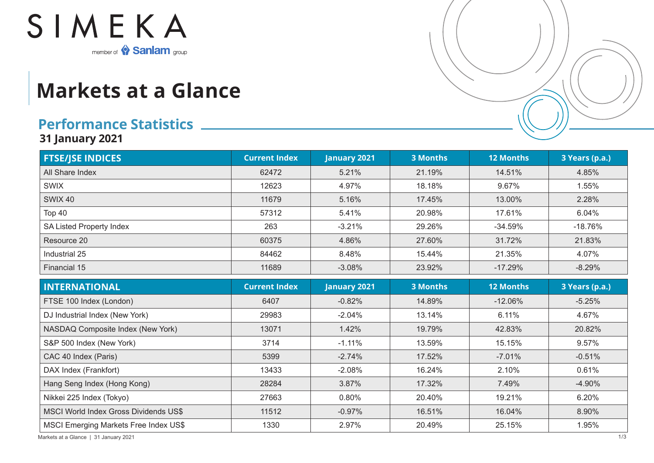

## **Markets at a Glance**

## **Performance Statistics**

**31 January 2021**

| <b>FTSE/JSE INDICES</b>                      | <b>Current Index</b> | <b>January 2021</b> | <b>3 Months</b> | <b>12 Months</b> | 3 Years (p.a.) |
|----------------------------------------------|----------------------|---------------------|-----------------|------------------|----------------|
| All Share Index                              | 62472                | 5.21%               | 21.19%          | 14.51%           | 4.85%          |
| <b>SWIX</b>                                  | 12623                | 4.97%               | 18.18%          | 9.67%            | 1.55%          |
| <b>SWIX 40</b>                               | 11679                | 5.16%               | 17.45%          | 13.00%           | 2.28%          |
| <b>Top 40</b>                                | 57312                | 5.41%               | 20.98%          | 17.61%           | 6.04%          |
| SA Listed Property Index                     | 263                  | $-3.21%$            | 29.26%          | $-34.59%$        | $-18.76%$      |
| Resource 20                                  | 60375                | 4.86%               | 27.60%          | 31.72%           | 21.83%         |
| Industrial 25                                | 84462                | 8.48%               | 15.44%          | 21.35%           | 4.07%          |
| Financial 15                                 | 11689                | $-3.08%$            | 23.92%          | $-17.29%$        | $-8.29%$       |
| <b>INTERNATIONAL</b>                         | <b>Current Index</b> | <b>January 2021</b> | <b>3 Months</b> | <b>12 Months</b> | 3 Years (p.a.) |
| FTSE 100 Index (London)                      | 6407                 | $-0.82%$            | 14.89%          | $-12.06%$        | $-5.25%$       |
| DJ Industrial Index (New York)               | 29983                | $-2.04%$            | 13.14%          | 6.11%            | 4.67%          |
| NASDAQ Composite Index (New York)            | 13071                | 1.42%               | 19.79%          | 42.83%           | 20.82%         |
| S&P 500 Index (New York)                     | 3714                 | $-1.11%$            | 13.59%          | 15.15%           | 9.57%          |
| CAC 40 Index (Paris)                         | 5399                 | $-2.74%$            | 17.52%          | $-7.01%$         | $-0.51%$       |
| DAX Index (Frankfort)                        | 13433                | $-2.08%$            | 16.24%          | 2.10%            | 0.61%          |
| Hang Seng Index (Hong Kong)                  | 28284                | 3.87%               | 17.32%          | 7.49%            | $-4.90%$       |
| Nikkei 225 Index (Tokyo)                     | 27663                | 0.80%               | 20.40%          | 19.21%           | 6.20%          |
| <b>MSCI World Index Gross Dividends US\$</b> | 11512                | $-0.97%$            | 16.51%          | 16.04%           | 8.90%          |
| <b>MSCI Emerging Markets Free Index US\$</b> | 1330                 | 2.97%               | 20.49%          | 25.15%           | 1.95%          |

Markets at a Glance | 31 January 2021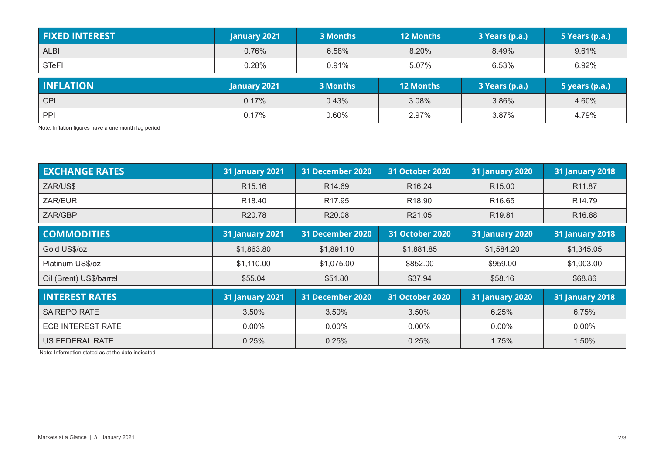| <b>FIXED INTEREST</b> | January 2021        | 3 Months        | <b>12 Months</b> | 3 Years (p.a.) | 5 Years (p.a.)        |
|-----------------------|---------------------|-----------------|------------------|----------------|-----------------------|
| <b>ALBI</b>           | 0.76%               | 6.58%           | 8.20%            | 8.49%          | 9.61%                 |
| <b>STeFI</b>          | 0.28%               | 0.91%           | 5.07%            | 6.53%          | 6.92%                 |
|                       |                     |                 |                  |                |                       |
| <b>INFLATION</b>      | <b>January 2021</b> | <b>3 Months</b> | <b>12 Months</b> | 3 Years (p.a.) | <b>5 years (p.a.)</b> |
| <b>CPI</b>            | 0.17%               | 0.43%           | 3.08%            | 3.86%          | 4.60%                 |

Note: Inflation figures have a one month lag period

| <b>EXCHANGE RATES</b>    | <b>31 January 2021</b> | 31 December 2020        | <b>31 October 2020</b> | <b>31 January 2020</b> | <b>31 January 2018</b> |
|--------------------------|------------------------|-------------------------|------------------------|------------------------|------------------------|
| ZAR/US\$                 | R <sub>15.16</sub>     | R <sub>14.69</sub>      | R <sub>16.24</sub>     | R <sub>15.00</sub>     | R11.87                 |
| ZAR/EUR                  | R <sub>18.40</sub>     | R <sub>17.95</sub>      | R <sub>18.90</sub>     | R <sub>16.65</sub>     | R <sub>14.79</sub>     |
| ZAR/GBP                  | R <sub>20.78</sub>     | R20.08                  | R21.05                 | R <sub>19.81</sub>     | R <sub>16.88</sub>     |
| <b>COMMODITIES</b>       | <b>31 January 2021</b> | <b>31 December 2020</b> | <b>31 October 2020</b> | <b>31 January 2020</b> | <b>31 January 2018</b> |
| Gold US\$/oz             | \$1,863.80             | \$1,891.10              | \$1,881.85             | \$1,584.20             | \$1,345.05             |
| Platinum US\$/oz         | \$1,110.00             | \$1,075.00              | \$852.00               | \$959.00               | \$1,003.00             |
| Oil (Brent) US\$/barrel  | \$55.04                | \$51.80                 | \$37.94                | \$58.16                | \$68.86                |
| <b>INTEREST RATES</b>    | <b>31 January 2021</b> | <b>31 December 2020</b> | <b>31 October 2020</b> | <b>31 January 2020</b> | <b>31 January 2018</b> |
| <b>SA REPO RATE</b>      | 3.50%                  | 3.50%                   | 3.50%                  | 6.25%                  | 6.75%                  |
| <b>ECB INTEREST RATE</b> | $0.00\%$               | $0.00\%$                | $0.00\%$               | $0.00\%$               | $0.00\%$               |
| US FEDERAL RATE          | 0.25%                  | 0.25%                   | 0.25%                  | 1.75%                  | 1.50%                  |

Note: Information stated as at the date indicated